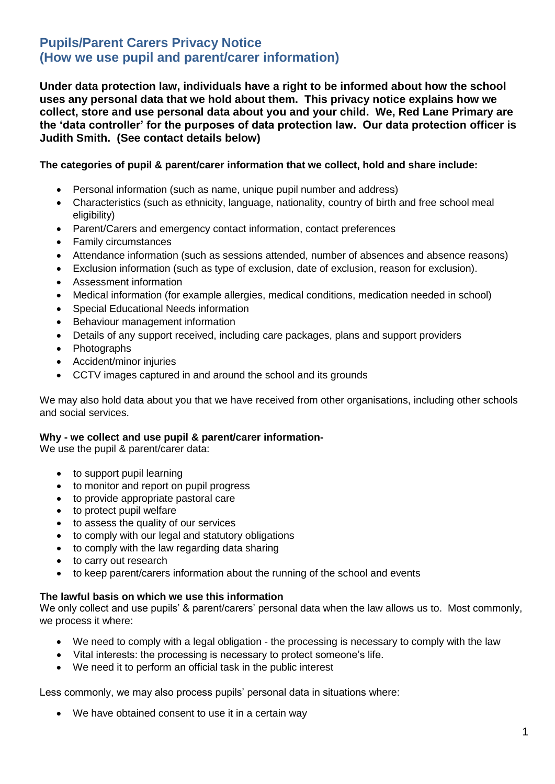# **Pupils/Parent Carers Privacy Notice (How we use pupil and parent/carer information)**

**Under data protection law, individuals have a right to be informed about how the school uses any personal data that we hold about them. This privacy notice explains how we collect, store and use personal data about you and your child. We, Red Lane Primary are the 'data controller' for the purposes of data protection law. Our data protection officer is Judith Smith. (See contact details below)**

# **The categories of pupil & parent/carer information that we collect, hold and share include:**

- Personal information (such as name, unique pupil number and address)
- Characteristics (such as ethnicity, language, nationality, country of birth and free school meal eligibility)
- Parent/Carers and emergency contact information, contact preferences
- Family circumstances
- Attendance information (such as sessions attended, number of absences and absence reasons)
- Exclusion information (such as type of exclusion, date of exclusion, reason for exclusion).
- Assessment information
- Medical information (for example allergies, medical conditions, medication needed in school)
- Special Educational Needs information
- Behaviour management information
- Details of any support received, including care packages, plans and support providers
- Photographs
- Accident/minor injuries
- CCTV images captured in and around the school and its grounds

We may also hold data about you that we have received from other organisations, including other schools and social services.

## **Why - we collect and use pupil & parent/carer information-**

We use the pupil & parent/carer data:

- to support pupil learning
- to monitor and report on pupil progress
- to provide appropriate pastoral care
- to protect pupil welfare
- to assess the quality of our services
- to comply with our legal and statutory obligations
- to comply with the law regarding data sharing
- to carry out research
- to keep parent/carers information about the running of the school and events

## **The lawful basis on which we use this information**

We only collect and use pupils' & parent/carers' personal data when the law allows us to. Most commonly, we process it where:

- We need to comply with a legal obligation the processing is necessary to comply with the law
- Vital interests: the processing is necessary to protect someone's life.
- We need it to perform an official task in the public interest

Less commonly, we may also process pupils' personal data in situations where:

We have obtained consent to use it in a certain way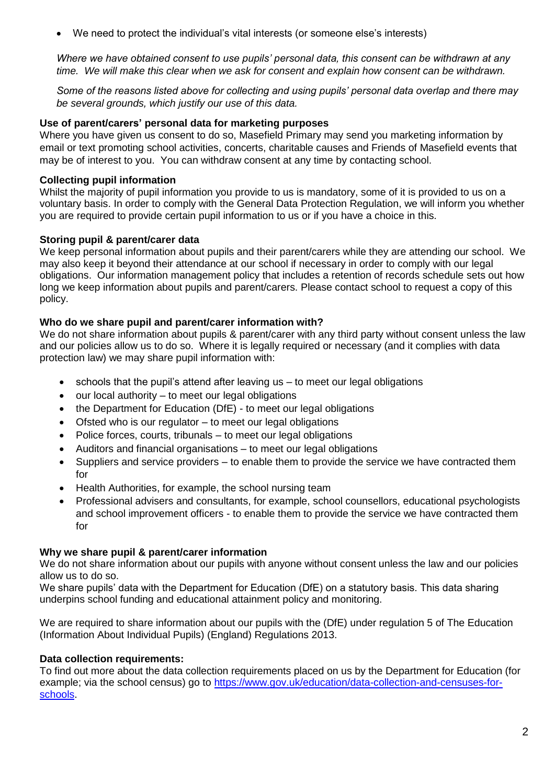We need to protect the individual's vital interests (or someone else's interests)

*Where we have obtained consent to use pupils' personal data, this consent can be withdrawn at any time. We will make this clear when we ask for consent and explain how consent can be withdrawn.*

*Some of the reasons listed above for collecting and using pupils' personal data overlap and there may be several grounds, which justify our use of this data.*

## **Use of parent/carers' personal data for marketing purposes**

Where you have given us consent to do so, Masefield Primary may send you marketing information by email or text promoting school activities, concerts, charitable causes and Friends of Masefield events that may be of interest to you. You can withdraw consent at any time by contacting school.

# **Collecting pupil information**

Whilst the majority of pupil information you provide to us is mandatory, some of it is provided to us on a voluntary basis. In order to comply with the General Data Protection Regulation, we will inform you whether you are required to provide certain pupil information to us or if you have a choice in this.

# **Storing pupil & parent/carer data**

We keep personal information about pupils and their parent/carers while they are attending our school. We may also keep it beyond their attendance at our school if necessary in order to comply with our legal obligations. Our information management policy that includes a retention of records schedule sets out how long we keep information about pupils and parent/carers. Please contact school to request a copy of this policy.

# **Who do we share pupil and parent/carer information with?**

We do not share information about pupils & parent/carer with any third party without consent unless the law and our policies allow us to do so. Where it is legally required or necessary (and it complies with data protection law) we may share pupil information with:

- schools that the pupil's attend after leaving us to meet our legal obligations
- our local authority to meet our legal obligations
- the Department for Education (DfE) to meet our legal obligations
- Ofsted who is our regulator to meet our legal obligations
- Police forces, courts, tribunals to meet our legal obligations
- Auditors and financial organisations to meet our legal obligations
- Suppliers and service providers to enable them to provide the service we have contracted them for
- Health Authorities, for example, the school nursing team
- Professional advisers and consultants, for example, school counsellors, educational psychologists and school improvement officers - to enable them to provide the service we have contracted them for

## **Why we share pupil & parent/carer information**

We do not share information about our pupils with anyone without consent unless the law and our policies allow us to do so.

We share pupils' data with the Department for Education (DfE) on a statutory basis. This data sharing underpins school funding and educational attainment policy and monitoring.

We are required to share information about our pupils with the (DfE) under regulation 5 of The Education (Information About Individual Pupils) (England) Regulations 2013.

# **Data collection requirements:**

To find out more about the data collection requirements placed on us by the Department for Education (for example; via the school census) go to [https://www.gov.uk/education/data-collection-and-censuses-for](https://www.gov.uk/education/data-collection-and-censuses-for-schools)[schools.](https://www.gov.uk/education/data-collection-and-censuses-for-schools)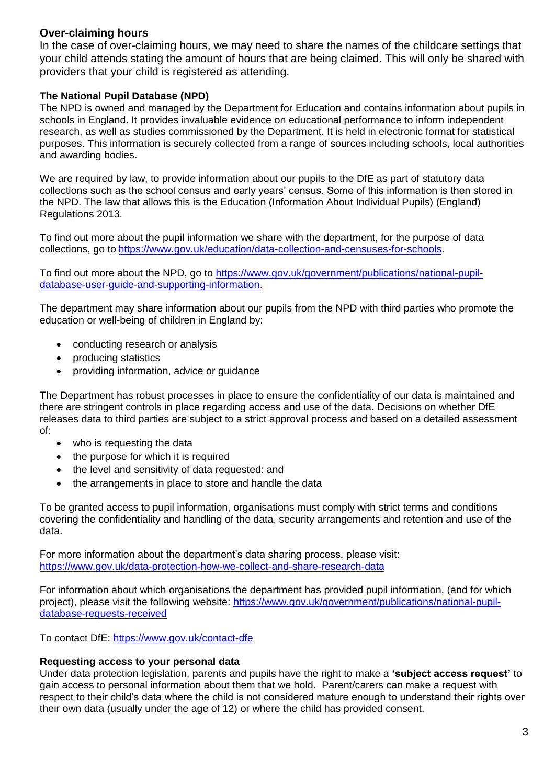# **Over-claiming hours**

In the case of over-claiming hours, we may need to share the names of the childcare settings that your child attends stating the amount of hours that are being claimed. This will only be shared with providers that your child is registered as attending.

# **The National Pupil Database (NPD)**

The NPD is owned and managed by the Department for Education and contains information about pupils in schools in England. It provides invaluable evidence on educational performance to inform independent research, as well as studies commissioned by the Department. It is held in electronic format for statistical purposes. This information is securely collected from a range of sources including schools, local authorities and awarding bodies.

We are required by law, to provide information about our pupils to the DfE as part of statutory data collections such as the school census and early years' census. Some of this information is then stored in the NPD. The law that allows this is the Education (Information About Individual Pupils) (England) Regulations 2013.

To find out more about the pupil information we share with the department, for the purpose of data collections, go to [https://www.gov.uk/education/data-collection-and-censuses-for-schools.](https://www.gov.uk/education/data-collection-and-censuses-for-schools)

To find out more about the NPD, go to [https://www.gov.uk/government/publications/national-pupil](https://www.gov.uk/government/publications/national-pupil-database-user-guide-and-supporting-information)[database-user-guide-and-supporting-information.](https://www.gov.uk/government/publications/national-pupil-database-user-guide-and-supporting-information)

The department may share information about our pupils from the NPD with third parties who promote the education or well-being of children in England by:

- conducting research or analysis
- producing statistics
- providing information, advice or guidance

The Department has robust processes in place to ensure the confidentiality of our data is maintained and there are stringent controls in place regarding access and use of the data. Decisions on whether DfE releases data to third parties are subject to a strict approval process and based on a detailed assessment of:

- who is requesting the data
- the purpose for which it is required
- the level and sensitivity of data requested: and
- the arrangements in place to store and handle the data

To be granted access to pupil information, organisations must comply with strict terms and conditions covering the confidentiality and handling of the data, security arrangements and retention and use of the data.

For more information about the department's data sharing process, please visit: <https://www.gov.uk/data-protection-how-we-collect-and-share-research-data>

For information about which organisations the department has provided pupil information, (and for which project), please visit the following website: [https://www.gov.uk/government/publications/national-pupil](https://www.gov.uk/government/publications/national-pupil-database-requests-received)[database-requests-received](https://www.gov.uk/government/publications/national-pupil-database-requests-received)

To contact DfE:<https://www.gov.uk/contact-dfe>

## **Requesting access to your personal data**

Under data protection legislation, parents and pupils have the right to make a **'subject access request'** to gain access to personal information about them that we hold. Parent/carers can make a request with respect to their child's data where the child is not considered mature enough to understand their rights over their own data (usually under the age of 12) or where the child has provided consent.